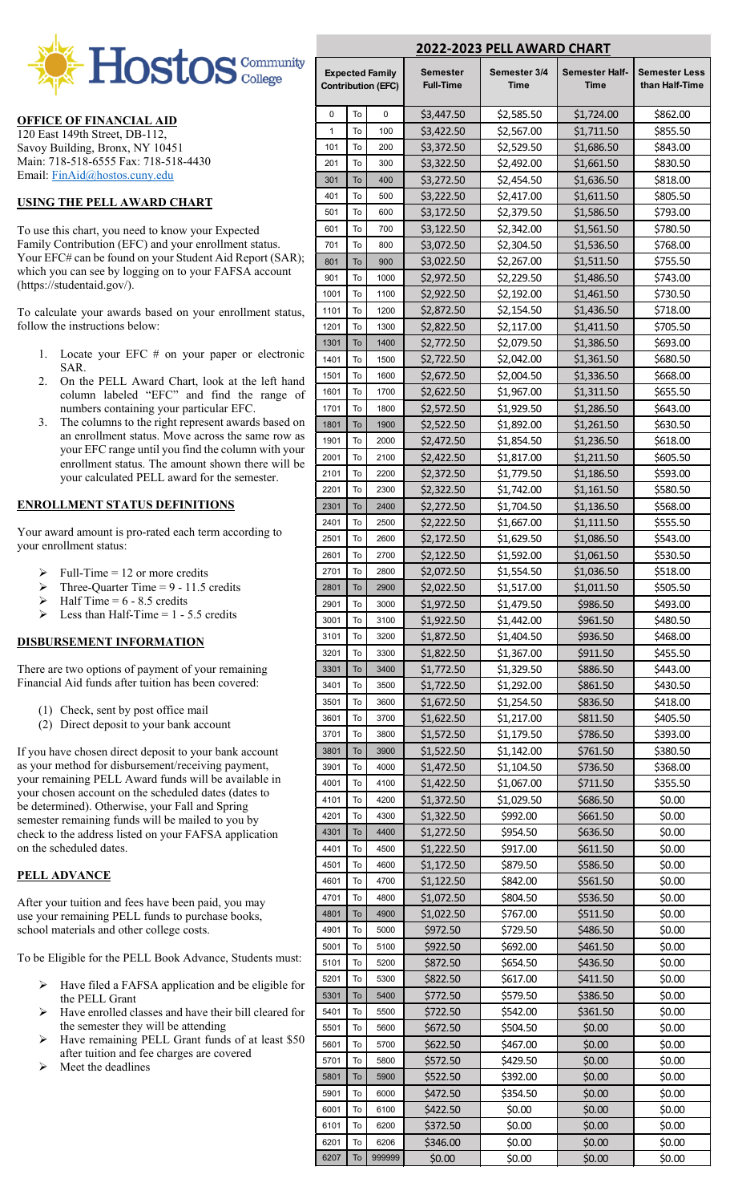

### **OFFICE OF FINANCIAL AID**

120 East 149th Street, DB-112, Savoy Building, Bronx, NY 10451 Main: 718-518-6555 Fax: 718-518-4430 Email: [FinAid@hostos.cuny.edu](mailto:FinAid@hostos.cuny.edu)

#### **USING THE PELL AWARD CHART**

To use this chart, you need to know your Expected Family Contribution (EFC) and your enrollment status. Your EFC# can be found on your Student Aid Report (SAR); which you can see by logging on to your FAFSA account (https://studentaid.gov/).

To calculate your awards based on your enrollment status, follow the instructions below:

- 1. Locate your EFC # on your paper or electronic SAR.
- 2. On the PELL Award Chart, look at the left hand column labeled "EFC" and find the range of numbers containing your particular EFC.
- 3. The columns to the right represent awards based on an enrollment status. Move across the same row as your EFC range until you find the column with your enrollment status. The amount shown there will be your calculated PELL award for the semester.

### **ENROLLMENT STATUS DEFINITIONS**

Your award amount is pro-rated each term according to your enrollment status:

- Full-Time = 12 or more credits
- $\triangleright$  Three-Quarter Time = 9 11.5 credits
- Half Time  $= 6 8.5$  credits
- Less than Half-Time  $= 1 5.5$  credits

### **DISBURSEMENT INFORMATION**

There are two options of payment of your remaining Financial Aid funds after tuition has been covered:

- (1) Check, sent by post office mail
- (2) Direct deposit to your bank account

If you have chosen direct deposit to your bank account as your method for disbursement/receiving payment, your remaining PELL Award funds will be available in your chosen account on the scheduled dates (dates to be determined). Otherwise, your Fall and Spring semester remaining funds will be mailed to you by check to the address listed on your FAFSA application on the scheduled dates.

#### **PELL ADVANCE**

After your tuition and fees have been paid, you may use your remaining PELL funds to purchase books, school materials and other college costs.

To be Eligible for the PELL Book Advance, Students must:

- Have filed a FAFSA application and be eligible for the PELL Grant
- Have enrolled classes and have their bill cleared for the semester they will be attending
- Have remaining PELL Grant funds of at least \$50 after tuition and fee charges are covered
- Meet the deadlines

| 2022-2023 PELL AWARD CHART                          |          |              |                                     |                      |                                      |                                 |
|-----------------------------------------------------|----------|--------------|-------------------------------------|----------------------|--------------------------------------|---------------------------------|
| <b>Expected Family</b><br><b>Contribution (EFC)</b> |          |              | <b>Semester</b><br><b>Full-Time</b> | Semester 3/4<br>Time | <b>Semester Half-</b><br><b>Time</b> | Semester Less<br>than Half-Time |
| 0                                                   | To       | 0            | \$3,447.50                          | \$2,585.50           | \$1,724.00                           | \$862.00                        |
| 1                                                   | To       | 100          | \$3,422.50                          | \$2,567.00           | \$1,711.50                           | \$855.50                        |
| 101                                                 | To       | 200          | \$3,372.50                          | \$2,529.50           | \$1,686.50                           | \$843.00                        |
| 201                                                 | To       | 300          | \$3,322.50                          | \$2,492.00           | \$1,661.50                           | \$830.50                        |
| 301                                                 | To       | 400          | \$3,272.50                          | \$2,454.50           | \$1,636.50                           | \$818.00                        |
| 401                                                 | To       | 500          | \$3,222.50                          | \$2,417.00           | \$1,611.50                           | \$805.50                        |
| 501                                                 | To       | 600          | \$3,172.50                          | \$2,379.50           | \$1,586.50                           | \$793.00                        |
| 601                                                 | To       | 700          | \$3,122.50                          | \$2,342.00           | \$1,561.50                           | \$780.50                        |
| 701                                                 | To       | 800          | \$3,072.50                          | \$2,304.50           | \$1,536.50                           | \$768.00                        |
| 801                                                 | To       | 900          | \$3,022.50                          | \$2,267.00           | \$1,511.50                           | \$755.50                        |
| 901                                                 | To       | 1000         | \$2,972.50                          | \$2,229.50           | \$1,486.50                           | \$743.00                        |
| 1001                                                | To       | 1100         | \$2,922.50                          | \$2,192.00           | \$1,461.50                           | \$730.50                        |
| 1101                                                | To       | 1200         | \$2,872.50                          | \$2,154.50           | \$1,436.50                           | \$718.00                        |
| 1201                                                | To       | 1300         | \$2,822.50                          | \$2,117.00           | \$1,411.50                           | \$705.50                        |
| 1301                                                | To       | 1400         | \$2,772.50                          | \$2,079.50           | \$1,386.50                           | \$693.00                        |
| 1401                                                | To       | 1500         | \$2,722.50                          | \$2,042.00           | \$1,361.50                           | \$680.50                        |
| 1501                                                | To       | 1600         | \$2,672.50                          | \$2,004.50           | \$1,336.50                           | \$668.00                        |
| 1601                                                | To       | 1700         | \$2,622.50                          | \$1,967.00           | \$1,311.50                           | \$655.50                        |
| 1701                                                | To       | 1800         | \$2,572.50                          | \$1,929.50           | \$1,286.50                           | \$643.00                        |
| 1801                                                | To       | 1900         | \$2,522.50                          | \$1,892.00           | \$1,261.50                           | \$630.50                        |
| 1901                                                | To       | 2000         | \$2,472.50                          | \$1,854.50           | \$1,236.50                           | \$618.00                        |
| 2001                                                | To       | 2100         | \$2,422.50                          | \$1,817.00           | \$1,211.50                           | \$605.50                        |
| 2101                                                | To       | 2200         | \$2,372.50                          | \$1,779.50           | \$1,186.50                           | \$593.00                        |
| 2201                                                | To       | 2300         | \$2,322.50                          | \$1,742.00           | \$1,161.50                           | \$580.50                        |
| 2301                                                | To       | 2400         | \$2,272.50                          | \$1,704.50           | \$1,136.50                           | \$568.00                        |
| 2401                                                | To       | 2500         | \$2,222.50                          | \$1,667.00           | \$1,111.50                           | \$555.50                        |
| 2501                                                | To       | 2600         | \$2,172.50                          | \$1,629.50           | \$1,086.50                           | \$543.00                        |
| 2601                                                | To       | 2700         | \$2,122.50                          | \$1,592.00           | \$1,061.50                           | \$530.50                        |
| 2701                                                | To       | 2800         | \$2,072.50                          | \$1,554.50           | \$1,036.50                           | \$518.00                        |
| 2801                                                | To       | 2900         | \$2,022.50                          | \$1,517.00           | \$1,011.50                           | \$505.50                        |
| 2901                                                | To       | 3000         | \$1,972.50                          | \$1,479.50           | \$986.50                             | \$493.00                        |
| 3001                                                | To       | 3100         | \$1,922.50                          | \$1,442.00           | \$961.50                             | \$480.50                        |
| 3101                                                | To       | 3200         | \$1,872.50                          | \$1,404.50           | \$936.50                             | \$468.00                        |
| 3201                                                | To       | 3300         | \$1,822.50                          | \$1,367.00           | \$911.50                             | \$455.50                        |
| 3301                                                | To       | 3400         | \$1,772.50                          | \$1,329.50           | \$886.50                             | \$443.00                        |
| 3401                                                | To       | 3500         | \$1,722.50                          | \$1,292.00           | \$861.50                             | \$430.50                        |
| 3501                                                | To       | 3600         | \$1,672.50                          | \$1,254.50           | \$836.50                             | \$418.00                        |
| 3601                                                | To       | 3700         | \$1,622.50                          | \$1,217.00           | \$811.50                             | \$405.50                        |
| 3701                                                | To       | 3800         | \$1,572.50                          | \$1,179.50           | \$786.50                             | \$393.00                        |
| 3801                                                | To       | 3900         | \$1,522.50                          | \$1,142.00           | \$761.50                             | \$380.50                        |
| 3901                                                | To       | 4000<br>4100 | \$1,472.50                          | \$1,104.50           | \$736.50                             | \$368.00                        |
| 4001                                                | To       |              | \$1,422.50                          | \$1,067.00           | \$711.50                             | \$355.50                        |
| 4101<br>4201                                        | To<br>To | 4200<br>4300 | \$1,372.50                          | \$1,029.50           | \$686.50                             | \$0.00                          |
| 4301                                                | To       | 4400         | \$1,322.50                          | \$992.00             | \$661.50                             | \$0.00                          |
| 4401                                                | To       | 4500         | \$1,272.50                          | \$954.50             | \$636.50                             | \$0.00<br>\$0.00                |
| 4501                                                | To       | 4600         | \$1,222.50                          | \$917.00             | \$611.50                             | \$0.00                          |
| 4601                                                | To       | 4700         | \$1,172.50<br>\$1,122.50            | \$879.50<br>\$842.00 | \$586.50<br>\$561.50                 | \$0.00                          |
| 4701                                                | To       | 4800         | \$1,072.50                          | \$804.50             | \$536.50                             | \$0.00                          |
| 4801                                                | To       | 4900         | \$1,022.50                          | \$767.00             | \$511.50                             | \$0.00                          |
| 4901                                                | To       | 5000         | \$972.50                            | \$729.50             | \$486.50                             | \$0.00                          |
| 5001                                                | To       | 5100         | \$922.50                            | \$692.00             | \$461.50                             | \$0.00                          |
| 5101                                                | To       | 5200         | \$872.50                            | \$654.50             | \$436.50                             | \$0.00                          |
| 5201                                                | To       | 5300         | \$822.50                            | \$617.00             | \$411.50                             | \$0.00                          |
| 5301                                                | To       | 5400         | \$772.50                            | \$579.50             | \$386.50                             | \$0.00                          |
| 5401                                                | To       | 5500         | \$722.50                            | \$542.00             | \$361.50                             | \$0.00                          |
| 5501                                                | To       | 5600         | \$672.50                            | \$504.50             | \$0.00                               | \$0.00                          |
| 5601                                                | To       | 5700         | \$622.50                            | \$467.00             | \$0.00                               | \$0.00                          |
| 5701                                                | To       | 5800         | \$572.50                            | \$429.50             | \$0.00                               | \$0.00                          |
| 5801                                                | To       | 5900         | \$522.50                            | \$392.00             | \$0.00                               | \$0.00                          |
| 5901                                                | To       | 6000         | \$472.50                            | \$354.50             | \$0.00                               | \$0.00                          |
| 6001                                                | To       | 6100         | \$422.50                            | \$0.00               | \$0.00                               | \$0.00                          |
| 6101                                                | To       | 6200         | \$372.50                            | \$0.00               | \$0.00                               | \$0.00                          |
| 6201                                                | To       | 6206         | \$346.00                            | \$0.00               | \$0.00                               | \$0.00                          |
| 6207                                                | To       | 999999       | \$0.00                              | \$0.00               | \$0.00                               | \$0.00                          |
|                                                     |          |              |                                     |                      |                                      |                                 |